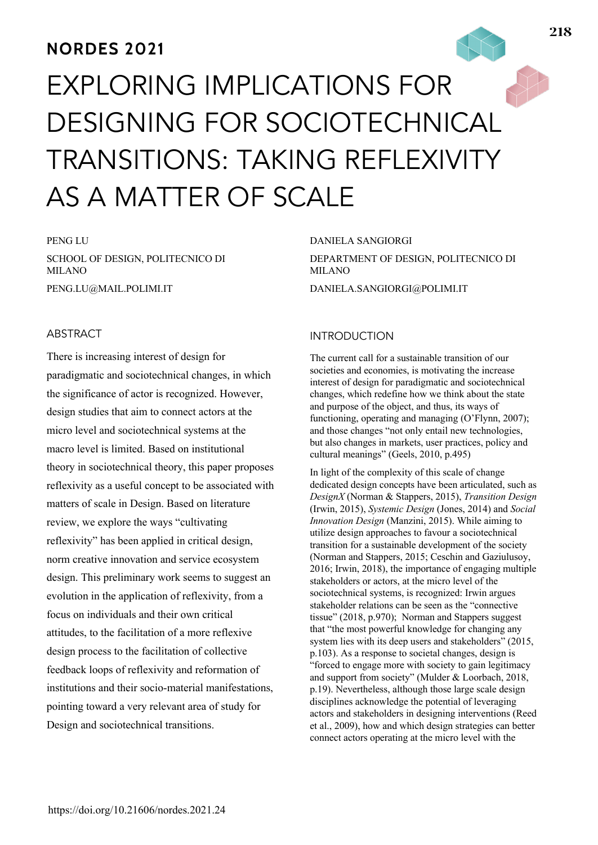# **NORDES 2021**

# EXPLORING IMPLICATIONS FOR DESIGNING FOR SOCIOTECHNICAL TRANSITIONS: TAKING REFLEXIVITY AS A MATTER OF SCALE

PENG LU SCHOOL OF DESIGN, POLITECNICO DI MILANO PENG.LU@MAIL.POLIMI.IT

# ABSTRACT

There is increasing interest of design for paradigmatic and sociotechnical changes, in which the significance of actor is recognized. However, design studies that aim to connect actors at the micro level and sociotechnical systems at the macro level is limited. Based on institutional theory in sociotechnical theory, this paper proposes reflexivity as a useful concept to be associated with matters of scale in Design. Based on literature review, we explore the ways "cultivating reflexivity" has been applied in critical design, norm creative innovation and service ecosystem design. This preliminary work seems to suggest an evolution in the application of reflexivity, from a focus on individuals and their own critical attitudes, to the facilitation of a more reflexive design process to the facilitation of collective feedback loops of reflexivity and reformation of institutions and their socio-material manifestations, pointing toward a very relevant area of study for Design and sociotechnical transitions.

#### DANIELA SANGIORGI

DEPARTMENT OF DESIGN, POLITECNICO DI MILANO DANIELA.SANGIORGI@POLIMI.IT

#### INTRODUCTION

The current call for a sustainable transition of our societies and economies, is motivating the increase interest of design for paradigmatic and sociotechnical changes, which redefine how we think about the state and purpose of the object, and thus, its ways of functioning, operating and managing (O'Flynn, 2007); and those changes "not only entail new technologies, but also changes in markets, user practices, policy and cultural meanings" (Geels, 2010, p.495)

In light of the complexity of this scale of change dedicated design concepts have been articulated, such as *DesignX* (Norman & Stappers, 2015), *Transition Design* (Irwin, 2015), *Systemic Design* (Jones, 2014) and *Social Innovation Design* (Manzini, 2015). While aiming to utilize design approaches to favour a sociotechnical transition for a sustainable development of the society (Norman and Stappers, 2015; Ceschin and Gaziulusoy, 2016; Irwin, 2018), the importance of engaging multiple stakeholders or actors, at the micro level of the sociotechnical systems, is recognized: Irwin argues stakeholder relations can be seen as the "connective tissue" (2018, p.970); Norman and Stappers suggest that "the most powerful knowledge for changing any system lies with its deep users and stakeholders" (2015, p.103). As a response to societal changes, design is "forced to engage more with society to gain legitimacy and support from society" (Mulder & Loorbach, 2018, p.19). Nevertheless, although those large scale design disciplines acknowledge the potential of leveraging actors and stakeholders in designing interventions (Reed et al., 2009), how and which design strategies can better connect actors operating at the micro level with the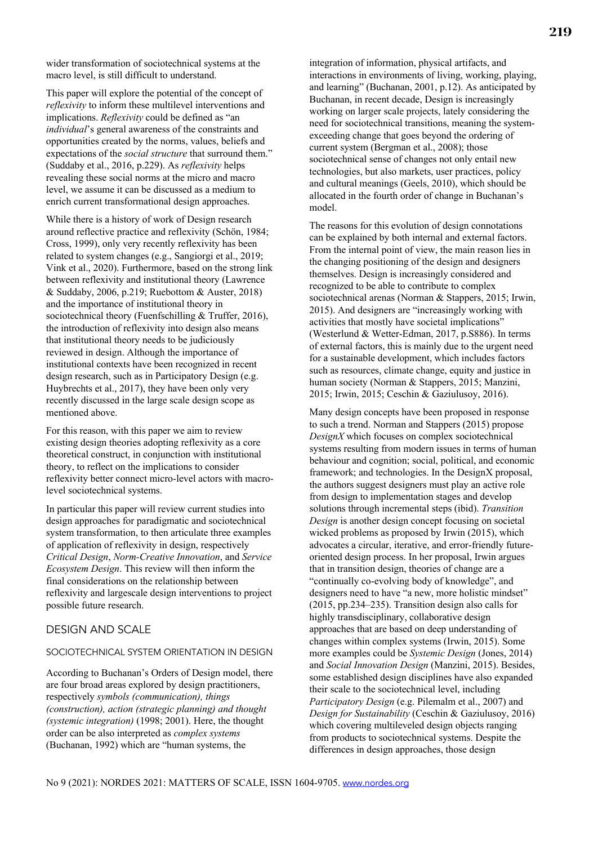wider transformation of sociotechnical systems at the macro level, is still difficult to understand.

This paper will explore the potential of the concept of *reflexivity* to inform these multilevel interventions and implications. *Reflexivity* could be defined as "an *individual*'s general awareness of the constraints and opportunities created by the norms, values, beliefs and expectations of the *social structure* that surround them." (Suddaby et al., 2016, p.229). As *reflexivity* helps revealing these social norms at the micro and macro level, we assume it can be discussed as a medium to enrich current transformational design approaches.

While there is a history of work of Design research around reflective practice and reflexivity (Schön, 1984; Cross, 1999), only very recently reflexivity has been related to system changes (e.g., Sangiorgi et al., 2019; Vink et al., 2020). Furthermore, based on the strong link between reflexivity and institutional theory (Lawrence & Suddaby, 2006, p.219; Ruebottom & Auster, 2018) and the importance of institutional theory in sociotechnical theory (Fuenfschilling & Truffer, 2016), the introduction of reflexivity into design also means that institutional theory needs to be judiciously reviewed in design. Although the importance of institutional contexts have been recognized in recent design research, such as in Participatory Design (e.g. Huybrechts et al., 2017), they have been only very recently discussed in the large scale design scope as mentioned above.

For this reason, with this paper we aim to review existing design theories adopting reflexivity as a core theoretical construct, in conjunction with institutional theory, to reflect on the implications to consider reflexivity better connect micro-level actors with macrolevel sociotechnical systems.

In particular this paper will review current studies into design approaches for paradigmatic and sociotechnical system transformation, to then articulate three examples of application of reflexivity in design, respectively *Critical Design*, *Norm-Creative Innovation*, and *Service Ecosystem Design*. This review will then inform the final considerations on the relationship between reflexivity and largescale design interventions to project possible future research.

#### DESIGN AND SCALE

#### SOCIOTECHNICAL SYSTEM ORIENTATION IN DESIGN

According to Buchanan's Orders of Design model, there are four broad areas explored by design practitioners, respectively *symbols (communication), things (construction), action (strategic planning) and thought (systemic integration)* (1998; 2001). Here, the thought order can be also interpreted as *complex systems* (Buchanan, 1992) which are "human systems, the

integration of information, physical artifacts, and interactions in environments of living, working, playing, and learning" (Buchanan, 2001, p.12). As anticipated by Buchanan, in recent decade, Design is increasingly working on larger scale projects, lately considering the need for sociotechnical transitions, meaning the systemexceeding change that goes beyond the ordering of current system (Bergman et al., 2008); those sociotechnical sense of changes not only entail new technologies, but also markets, user practices, policy and cultural meanings (Geels, 2010), which should be allocated in the fourth order of change in Buchanan's model.

The reasons for this evolution of design connotations can be explained by both internal and external factors. From the internal point of view, the main reason lies in the changing positioning of the design and designers themselves. Design is increasingly considered and recognized to be able to contribute to complex sociotechnical arenas (Norman & Stappers, 2015; Irwin, 2015). And designers are "increasingly working with activities that mostly have societal implications" (Westerlund & Wetter-Edman, 2017, p.S886). In terms of external factors, this is mainly due to the urgent need for a sustainable development, which includes factors such as resources, climate change, equity and justice in human society (Norman & Stappers, 2015; Manzini, 2015; Irwin, 2015; Ceschin & Gaziulusoy, 2016).

Many design concepts have been proposed in response to such a trend. Norman and Stappers (2015) propose *DesignX* which focuses on complex sociotechnical systems resulting from modern issues in terms of human behaviour and cognition; social, political, and economic framework; and technologies. In the DesignX proposal, the authors suggest designers must play an active role from design to implementation stages and develop solutions through incremental steps (ibid). *Transition Design* is another design concept focusing on societal wicked problems as proposed by Irwin (2015), which advocates a circular, iterative, and error-friendly futureoriented design process. In her proposal, Irwin argues that in transition design, theories of change are a "continually co-evolving body of knowledge", and designers need to have "a new, more holistic mindset" (2015, pp.234–235). Transition design also calls for highly transdisciplinary, collaborative design approaches that are based on deep understanding of changes within complex systems (Irwin, 2015). Some more examples could be *Systemic Design* (Jones, 2014) and *Social Innovation Design* (Manzini, 2015). Besides, some established design disciplines have also expanded their scale to the sociotechnical level, including *Participatory Design* (e.g. Pilemalm et al., 2007) and *Design for Sustainability* (Ceschin & Gaziulusoy, 2016) which covering multileveled design objects ranging from products to sociotechnical systems. Despite the differences in design approaches, those design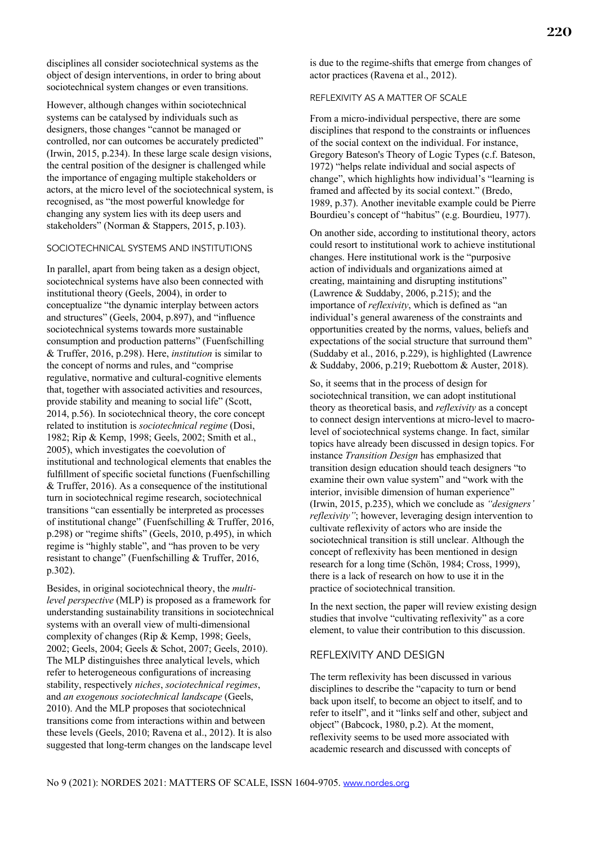disciplines all consider sociotechnical systems as the object of design interventions, in order to bring about sociotechnical system changes or even transitions.

However, although changes within sociotechnical systems can be catalysed by individuals such as designers, those changes "cannot be managed or controlled, nor can outcomes be accurately predicted" (Irwin, 2015, p.234). In these large scale design visions, the central position of the designer is challenged while the importance of engaging multiple stakeholders or actors, at the micro level of the sociotechnical system, is recognised, as "the most powerful knowledge for changing any system lies with its deep users and stakeholders" (Norman & Stappers, 2015, p.103).

# SOCIOTECHNICAL SYSTEMS AND INSTITUTIONS

In parallel, apart from being taken as a design object, sociotechnical systems have also been connected with institutional theory (Geels, 2004), in order to conceptualize "the dynamic interplay between actors and structures" (Geels, 2004, p.897), and "influence sociotechnical systems towards more sustainable consumption and production patterns" (Fuenfschilling & Truffer, 2016, p.298). Here, *institution* is similar to the concept of norms and rules, and "comprise regulative, normative and cultural-cognitive elements that, together with associated activities and resources, provide stability and meaning to social life" (Scott, 2014, p.56). In sociotechnical theory, the core concept related to institution is *sociotechnical regime* (Dosi, 1982; Rip & Kemp, 1998; Geels, 2002; Smith et al., 2005), which investigates the coevolution of institutional and technological elements that enables the fulfillment of specific societal functions (Fuenfschilling & Truffer, 2016). As a consequence of the institutional turn in sociotechnical regime research, sociotechnical transitions "can essentially be interpreted as processes of institutional change" (Fuenfschilling & Truffer, 2016, p.298) or "regime shifts" (Geels, 2010, p.495), in which regime is "highly stable", and "has proven to be very resistant to change" (Fuenfschilling & Truffer, 2016, p.302).

Besides, in original sociotechnical theory, the *multilevel perspective* (MLP) is proposed as a framework for understanding sustainability transitions in sociotechnical systems with an overall view of multi-dimensional complexity of changes (Rip & Kemp, 1998; Geels, 2002; Geels, 2004; Geels & Schot, 2007; Geels, 2010). The MLP distinguishes three analytical levels, which refer to heterogeneous configurations of increasing stability, respectively *niches*, *sociotechnical regimes*, and *an exogenous sociotechnical landscape* (Geels, 2010). And the MLP proposes that sociotechnical transitions come from interactions within and between these levels (Geels, 2010; Ravena et al., 2012). It is also suggested that long-term changes on the landscape level

is due to the regime-shifts that emerge from changes of actor practices (Ravena et al., 2012).

#### REFLEXIVITY AS A MATTER OF SCALE

From a micro-individual perspective, there are some disciplines that respond to the constraints or influences of the social context on the individual. For instance, Gregory Bateson's Theory of Logic Types (c.f. Bateson, 1972) "helps relate individual and social aspects of change", which highlights how individual's "learning is framed and affected by its social context." (Bredo, 1989, p.37). Another inevitable example could be Pierre Bourdieu's concept of "habitus" (e.g. Bourdieu, 1977).

On another side, according to institutional theory, actors could resort to institutional work to achieve institutional changes. Here institutional work is the "purposive action of individuals and organizations aimed at creating, maintaining and disrupting institutions" (Lawrence & Suddaby, 2006, p.215); and the importance of *reflexivity*, which is defined as "an individual's general awareness of the constraints and opportunities created by the norms, values, beliefs and expectations of the social structure that surround them" (Suddaby et al., 2016, p.229), is highlighted (Lawrence & Suddaby, 2006, p.219; Ruebottom & Auster, 2018).

So, it seems that in the process of design for sociotechnical transition, we can adopt institutional theory as theoretical basis, and *reflexivity* as a concept to connect design interventions at micro-level to macrolevel of sociotechnical systems change. In fact, similar topics have already been discussed in design topics. For instance *Transition Design* has emphasized that transition design education should teach designers "to examine their own value system" and "work with the interior, invisible dimension of human experience" (Irwin, 2015, p.235), which we conclude as *"designers' reflexivity"*; however, leveraging design intervention to cultivate reflexivity of actors who are inside the sociotechnical transition is still unclear. Although the concept of reflexivity has been mentioned in design research for a long time (Schön, 1984; Cross, 1999), there is a lack of research on how to use it in the practice of sociotechnical transition.

In the next section, the paper will review existing design studies that involve "cultivating reflexivity" as a core element, to value their contribution to this discussion.

# REFLEXIVITY AND DESIGN

The term reflexivity has been discussed in various disciplines to describe the "capacity to turn or bend back upon itself, to become an object to itself, and to refer to itself", and it "links self and other, subject and object" (Babcock, 1980, p.2). At the moment, reflexivity seems to be used more associated with academic research and discussed with concepts of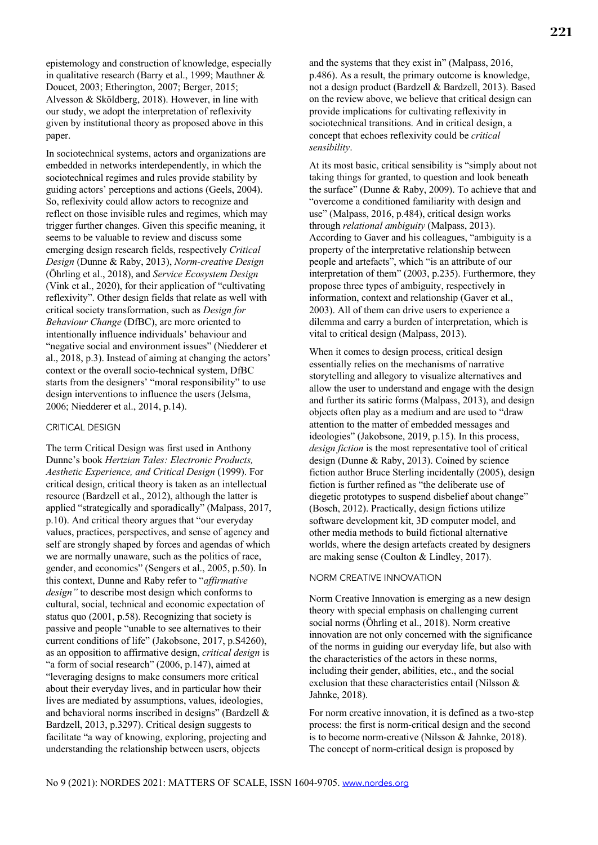epistemology and construction of knowledge, especially in qualitative research (Barry et al., 1999; Mauthner & Doucet, 2003; Etherington, 2007; Berger, 2015; Alvesson & Sköldberg, 2018). However, in line with our study, we adopt the interpretation of reflexivity given by institutional theory as proposed above in this paper.

In sociotechnical systems, actors and organizations are embedded in networks interdependently, in which the sociotechnical regimes and rules provide stability by guiding actors' perceptions and actions (Geels, 2004). So, reflexivity could allow actors to recognize and reflect on those invisible rules and regimes, which may trigger further changes. Given this specific meaning, it seems to be valuable to review and discuss some emerging design research fields, respectively *Critical Design* (Dunne & Raby, 2013), *Norm-creative Design* (Öhrling et al., 2018), and *Service Ecosystem Design* (Vink et al., 2020), for their application of "cultivating reflexivity". Other design fields that relate as well with critical society transformation, such as *Design for Behaviour Change* (DfBC), are more oriented to intentionally influence individuals' behaviour and "negative social and environment issues" (Niedderer et al., 2018, p.3). Instead of aiming at changing the actors' context or the overall socio-technical system, DfBC starts from the designers' "moral responsibility" to use design interventions to influence the users (Jelsma, 2006; Niedderer et al., 2014, p.14).

#### CRITICAL DESIGN

The term Critical Design was first used in Anthony Dunne's book *Hertzian Tales: Electronic Products, Aesthetic Experience, and Critical Design* (1999). For critical design, critical theory is taken as an intellectual resource (Bardzell et al., 2012), although the latter is applied "strategically and sporadically" (Malpass, 2017, p.10). And critical theory argues that "our everyday values, practices, perspectives, and sense of agency and self are strongly shaped by forces and agendas of which we are normally unaware, such as the politics of race, gender, and economics" (Sengers et al., 2005, p.50). In this context, Dunne and Raby refer to "*affirmative design"* to describe most design which conforms to cultural, social, technical and economic expectation of status quo (2001, p.58). Recognizing that society is passive and people "unable to see alternatives to their current conditions of life" (Jakobsone, 2017, p.S4260), as an opposition to affirmative design, *critical design* is "a form of social research" (2006, p.147), aimed at "leveraging designs to make consumers more critical about their everyday lives, and in particular how their lives are mediated by assumptions, values, ideologies, and behavioral norms inscribed in designs" (Bardzell & Bardzell, 2013, p.3297). Critical design suggests to facilitate "a way of knowing, exploring, projecting and understanding the relationship between users, objects

and the systems that they exist in" (Malpass, 2016, p.486). As a result, the primary outcome is knowledge, not a design product (Bardzell & Bardzell, 2013). Based on the review above, we believe that critical design can provide implications for cultivating reflexivity in sociotechnical transitions. And in critical design, a concept that echoes reflexivity could be *critical sensibility*.

At its most basic, critical sensibility is "simply about not taking things for granted, to question and look beneath the surface" (Dunne & Raby, 2009). To achieve that and "overcome a conditioned familiarity with design and use" (Malpass, 2016, p.484), critical design works through *relational ambiguity* (Malpass, 2013). According to Gaver and his colleagues, "ambiguity is a property of the interpretative relationship between people and artefacts", which "is an attribute of our interpretation of them" (2003, p.235). Furthermore, they propose three types of ambiguity, respectively in information, context and relationship (Gaver et al., 2003). All of them can drive users to experience a dilemma and carry a burden of interpretation, which is vital to critical design (Malpass, 2013).

When it comes to design process, critical design essentially relies on the mechanisms of narrative storytelling and allegory to visualize alternatives and allow the user to understand and engage with the design and further its satiric forms (Malpass, 2013), and design objects often play as a medium and are used to "draw attention to the matter of embedded messages and ideologies" (Jakobsone, 2019, p.15). In this process, *design fiction* is the most representative tool of critical design (Dunne & Raby, 2013). Coined by science fiction author Bruce Sterling incidentally (2005), design fiction is further refined as "the deliberate use of diegetic prototypes to suspend disbelief about change" (Bosch, 2012). Practically, design fictions utilize software development kit, 3D computer model, and other media methods to build fictional alternative worlds, where the design artefacts created by designers are making sense (Coulton & Lindley, 2017).

#### NORM CREATIVE INNOVATION

Norm Creative Innovation is emerging as a new design theory with special emphasis on challenging current social norms (Öhrling et al., 2018). Norm creative innovation are not only concerned with the significance of the norms in guiding our everyday life, but also with the characteristics of the actors in these norms, including their gender, abilities, etc., and the social exclusion that these characteristics entail (Nilsson & Jahnke, 2018).

For norm creative innovation, it is defined as a two-step process: the first is norm-critical design and the second is to become norm-creative (Nilsson & Jahnke, 2018). The concept of norm-critical design is proposed by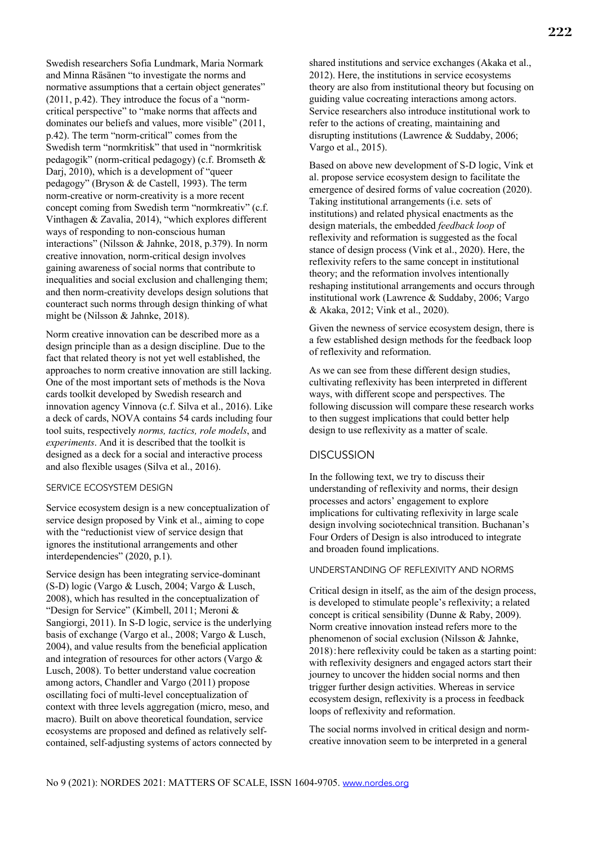Swedish researchers Sofia Lundmark, Maria Normark and Minna Räsänen "to investigate the norms and normative assumptions that a certain object generates" (2011, p.42). They introduce the focus of a "normcritical perspective" to "make norms that affects and dominates our beliefs and values, more visible" (2011, p.42). The term "norm-critical" comes from the Swedish term "normkritisk" that used in "normkritisk pedagogik" (norm-critical pedagogy) (c.f. Bromseth & Dari, 2010), which is a development of "queer" pedagogy" (Bryson & de Castell, 1993). The term norm-creative or norm-creativity is a more recent concept coming from Swedish term "normkreativ" (c.f. Vinthagen & Zavalia, 2014), "which explores different ways of responding to non-conscious human interactions" (Nilsson & Jahnke, 2018, p.379). In norm creative innovation, norm-critical design involves gaining awareness of social norms that contribute to inequalities and social exclusion and challenging them; and then norm-creativity develops design solutions that counteract such norms through design thinking of what might be (Nilsson & Jahnke, 2018).

Norm creative innovation can be described more as a design principle than as a design discipline. Due to the fact that related theory is not yet well established, the approaches to norm creative innovation are still lacking. One of the most important sets of methods is the Nova cards toolkit developed by Swedish research and innovation agency Vinnova (c.f. Silva et al., 2016). Like a deck of cards, NOVA contains 54 cards including four tool suits, respectively *norms, tactics, role models*, and *experiments*. And it is described that the toolkit is designed as a deck for a social and interactive process and also flexible usages (Silva et al., 2016).

#### SERVICE ECOSYSTEM DESIGN

Service ecosystem design is a new conceptualization of service design proposed by Vink et al., aiming to cope with the "reductionist view of service design that ignores the institutional arrangements and other interdependencies" (2020, p.1).

Service design has been integrating service-dominant (S-D) logic (Vargo & Lusch, 2004; Vargo & Lusch, 2008), which has resulted in the conceptualization of "Design for Service" (Kimbell, 2011; Meroni & Sangiorgi, 2011). In S-D logic, service is the underlying basis of exchange (Vargo et al., 2008; Vargo & Lusch, 2004), and value results from the beneficial application and integration of resources for other actors (Vargo & Lusch, 2008). To better understand value cocreation among actors, Chandler and Vargo (2011) propose oscillating foci of multi-level conceptualization of context with three levels aggregation (micro, meso, and macro). Built on above theoretical foundation, service ecosystems are proposed and defined as relatively selfcontained, self-adjusting systems of actors connected by

shared institutions and service exchanges (Akaka et al., 2012). Here, the institutions in service ecosystems theory are also from institutional theory but focusing on guiding value cocreating interactions among actors. Service researchers also introduce institutional work to refer to the actions of creating, maintaining and disrupting institutions (Lawrence & Suddaby, 2006; Vargo et al., 2015).

Based on above new development of S-D logic, Vink et al. propose service ecosystem design to facilitate the emergence of desired forms of value cocreation (2020). Taking institutional arrangements (i.e. sets of institutions) and related physical enactments as the design materials, the embedded *feedback loop* of reflexivity and reformation is suggested as the focal stance of design process (Vink et al., 2020). Here, the reflexivity refers to the same concept in institutional theory; and the reformation involves intentionally reshaping institutional arrangements and occurs through institutional work (Lawrence & Suddaby, 2006; Vargo & Akaka, 2012; Vink et al., 2020).

Given the newness of service ecosystem design, there is a few established design methods for the feedback loop of reflexivity and reformation.

As we can see from these different design studies, cultivating reflexivity has been interpreted in different ways, with different scope and perspectives. The following discussion will compare these research works to then suggest implications that could better help design to use reflexivity as a matter of scale.

## **DISCUSSION**

In the following text, we try to discuss their understanding of reflexivity and norms, their design processes and actors' engagement to explore implications for cultivating reflexivity in large scale design involving sociotechnical transition. Buchanan's Four Orders of Design is also introduced to integrate and broaden found implications.

#### UNDERSTANDING OF REFLEXIVITY AND NORMS

Critical design in itself, as the aim of the design process, is developed to stimulate people's reflexivity; a related concept is critical sensibility (Dunne & Raby, 2009). Norm creative innovation instead refers more to the phenomenon of social exclusion (Nilsson & Jahnke, 2018):here reflexivity could be taken as a starting point: with reflexivity designers and engaged actors start their journey to uncover the hidden social norms and then trigger further design activities. Whereas in service ecosystem design, reflexivity is a process in feedback loops of reflexivity and reformation.

The social norms involved in critical design and normcreative innovation seem to be interpreted in a general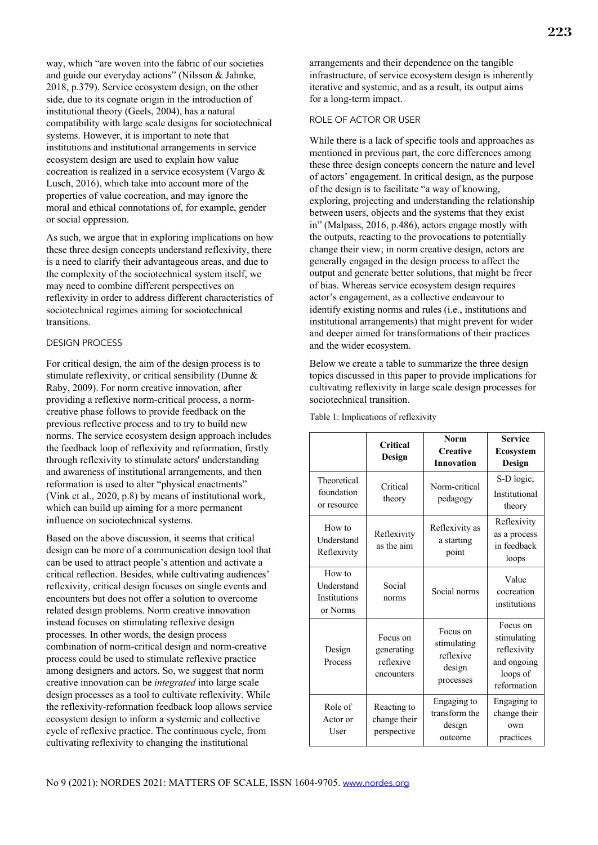way, which "are woven into the fabric of our societies and guide our everyday actions" (Nilsson & Jahnke, 2018, p.379). Service ecosystem design, on the other side, due to its cognate origin in the introduction of institutional theory (Geels, 2004), has a natural compatibility with large scale designs for sociotechnical systems. However, it is important to note that institutions and institutional arrangements in service ecosystem design are used to explain how value cocreation is realized in a service ecosystem (Vargo & Lusch, 2016), which take into account more of the properties of value cocreation, and may ignore the moral and ethical connotations of, for example, gender or social oppression.

As such, we argue that in exploring implications on how these three design concepts understand reflexivity, there is a need to clarify their advantageous areas, and due to the complexity of the sociotechnical system itself, we may need to combine different perspectives on reflexivity in order to address different characteristics of sociotechnical regimes aiming for sociotechnical transitions.

#### DESIGN PROCESS

For critical design, the aim of the design process is to stimulate reflexivity, or critical sensibility (Dunne & Raby, 2009). For norm creative innovation, after providing a reflexive norm-critical process, a normcreative phase follows to provide feedback on the previous reflective process and to try to build new norms. The service ecosystem design approach includes the feedback loop of reflexivity and reformation, firstly through reflexivity to stimulate actors' understanding and awareness of institutional arrangements, and then reformation is used to alter "physical enactments" (Vink et al., 2020, p.8) by means of institutional work, which can build up aiming for a more permanent influence on sociotechnical systems.

Based on the above discussion, it seems that critical design can be more of a communication design tool that can be used to attract people's attention and activate a critical reflection. Besides, while cultivating audiences' reflexivity, critical design focuses on single events and encounters but does not offer a solution to overcome related design problems. Norm creative innovation instead focuses on stimulating reflexive design processes. In other words, the design process combination of norm-critical design and norm-creative process could be used to stimulate reflexive practice among designers and actors. So, we suggest that norm creative innovation can be *integrated* into large scale design processes as a tool to cultivate reflexivity. While the reflexivity-reformation feedback loop allows service ecosystem design to inform a systemic and collective cycle of reflexive practice. The continuous cycle, from cultivating reflexivity to changing the institutional

arrangements and their dependence on the tangible infrastructure, of service ecosystem design is inherently iterative and systemic, and as a result, its output aims for a long-term impact.

#### ROLE OF ACTOR OR USER

While there is a lack of specific tools and approaches as mentioned in previous part, the core differences among these three design concepts concern the nature and level of actors' engagement. In critical design, as the purpose of the design is to facilitate "a way of knowing, exploring, projecting and understanding the relationship between users, objects and the systems that they exist in" (Malpass, 2016, p.486), actors engage mostly with the outputs, reacting to the provocations to potentially change their view; in norm creative design, actors are generally engaged in the design process to affect the output and generate better solutions, that might be freer of bias. Whereas service ecosystem design requires actor's engagement, as a collective endeavour to identify existing norms and rules (i.e., institutions and institutional arrangements) that might prevent for wider and deeper aimed for transformations of their practices and the wider ecosystem.

Below we create a table to summarize the three design topics discussed in this paper to provide implications for cultivating reflexivity in large scale design processes for sociotechnical transition.

|                                                         | Critical<br>Design                                | <b>Norm</b><br><b>Creative</b><br><b>Innovation</b>         | <b>Service</b><br><b>Ecosystem</b><br>Design                                     |
|---------------------------------------------------------|---------------------------------------------------|-------------------------------------------------------------|----------------------------------------------------------------------------------|
| Theoretical<br>foundation<br>or resource                | Critical<br>theory                                | Norm-critical<br>pedagogy                                   | S-D logic;<br>Institutional<br>theory                                            |
| How to<br>Understand<br>Reflexivity                     | Reflexivity<br>as the aim                         | Reflexivity as<br>a starting<br>point                       | Reflexivity<br>as a process<br>in feedback<br>loops                              |
| How to<br>Understand<br><b>Institutions</b><br>or Norms | Social<br>norms                                   | Social norms                                                | Value<br>cocreation<br>institutions                                              |
| Design<br>Process                                       | Focus on<br>generating<br>reflexive<br>encounters | Focus on<br>stimulating<br>reflexive<br>design<br>processes | Focus on<br>stimulating<br>reflexivity<br>and ongoing<br>loops of<br>reformation |
| Role of<br>Actor or<br>User                             | Reacting to<br>change their<br>perspective        | Engaging to<br>transform the<br>design<br>outcome           | Engaging to<br>change their<br>own<br>practices                                  |

Table 1: Implications of reflexivity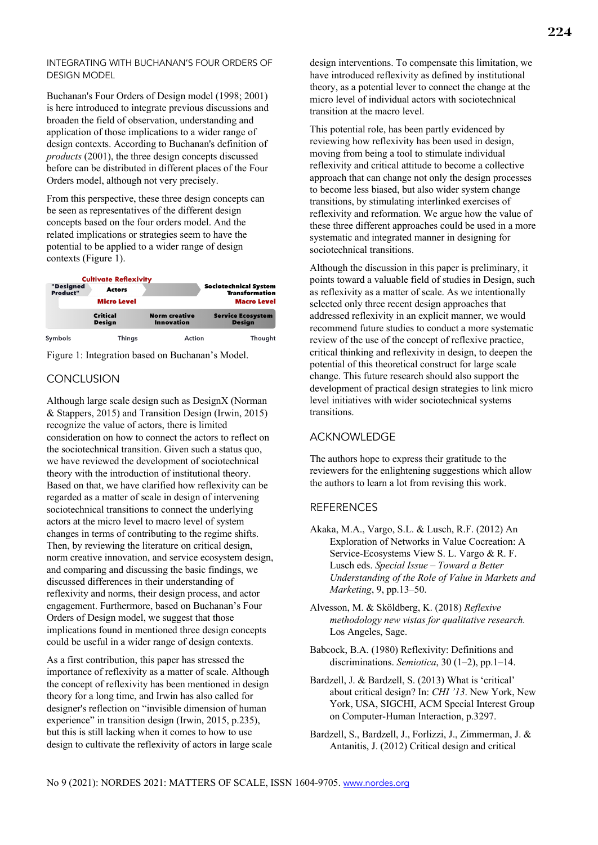# INTEGRATING WITH BUCHANAN'S FOUR ORDERS OF DESIGN MODEL

Buchanan's Four Orders of Design model (1998; 2001) is here introduced to integrate previous discussions and broaden the field of observation, understanding and application of those implications to a wider range of design contexts. According to Buchanan's definition of *products* (2001), the three design concepts discussed before can be distributed in different places of the Four Orders model, although not very precisely.

From this perspective, these three design concepts can be seen as representatives of the different design concepts based on the four orders model. And the related implications or strategies seem to have the potential to be applied to a wider range of design contexts (Figure 1).

|                       | <b>Cultivate Reflexivity</b>     |                                           |                                           |  |
|-----------------------|----------------------------------|-------------------------------------------|-------------------------------------------|--|
| "Designed<br>Product" | <b>Actors</b>                    | <b>Sociotechnical System</b>              |                                           |  |
|                       | <b>Micro Level</b>               |                                           | <b>Macro Level</b>                        |  |
|                       | <b>Critical</b><br><b>Design</b> | <b>Norm creative</b><br><b>Innovation</b> | <b>Service Ecosystem</b><br><b>Design</b> |  |
| Symbols               | Things                           | Action                                    | Thought                                   |  |

Figure 1: Integration based on Buchanan's Model.

# **CONCLUSION**

Although large scale design such as DesignX (Norman & Stappers, 2015) and Transition Design (Irwin, 2015) recognize the value of actors, there is limited consideration on how to connect the actors to reflect on the sociotechnical transition. Given such a status quo, we have reviewed the development of sociotechnical theory with the introduction of institutional theory. Based on that, we have clarified how reflexivity can be regarded as a matter of scale in design of intervening sociotechnical transitions to connect the underlying actors at the micro level to macro level of system changes in terms of contributing to the regime shifts. Then, by reviewing the literature on critical design, norm creative innovation, and service ecosystem design, and comparing and discussing the basic findings, we discussed differences in their understanding of reflexivity and norms, their design process, and actor engagement. Furthermore, based on Buchanan's Four Orders of Design model, we suggest that those implications found in mentioned three design concepts could be useful in a wider range of design contexts.

As a first contribution, this paper has stressed the importance of reflexivity as a matter of scale. Although the concept of reflexivity has been mentioned in design theory for a long time, and Irwin has also called for designer's reflection on "invisible dimension of human experience" in transition design (Irwin, 2015, p.235), but this is still lacking when it comes to how to use design to cultivate the reflexivity of actors in large scale design interventions. To compensate this limitation, we have introduced reflexivity as defined by institutional theory, as a potential lever to connect the change at the micro level of individual actors with sociotechnical transition at the macro level.

This potential role, has been partly evidenced by reviewing how reflexivity has been used in design, moving from being a tool to stimulate individual reflexivity and critical attitude to become a collective approach that can change not only the design processes to become less biased, but also wider system change transitions, by stimulating interlinked exercises of reflexivity and reformation. We argue how the value of these three different approaches could be used in a more systematic and integrated manner in designing for sociotechnical transitions.

Although the discussion in this paper is preliminary, it points toward a valuable field of studies in Design, such as reflexivity as a matter of scale. As we intentionally selected only three recent design approaches that addressed reflexivity in an explicit manner, we would recommend future studies to conduct a more systematic review of the use of the concept of reflexive practice, critical thinking and reflexivity in design, to deepen the potential of this theoretical construct for large scale change. This future research should also support the development of practical design strategies to link micro level initiatives with wider sociotechnical systems transitions.

# ACKNOWLEDGE

The authors hope to express their gratitude to the reviewers for the enlightening suggestions which allow the authors to learn a lot from revising this work.

# REFERENCES

- Akaka, M.A., Vargo, S.L. & Lusch, R.F. (2012) An Exploration of Networks in Value Cocreation: A Service-Ecosystems View S. L. Vargo & R. F. Lusch eds. *Special Issue – Toward a Better Understanding of the Role of Value in Markets and Marketing*, 9, pp.13–50.
- Alvesson, M. & Sköldberg, K. (2018) *Reflexive methodology new vistas for qualitative research.* Los Angeles, Sage.
- Babcock, B.A. (1980) Reflexivity: Definitions and discriminations. *Semiotica*, 30 (1–2), pp.1–14.
- Bardzell, J. & Bardzell, S. (2013) What is 'critical' about critical design? In: *CHI '13*. New York, New York, USA, SIGCHI, ACM Special Interest Group on Computer-Human Interaction, p.3297.
- Bardzell, S., Bardzell, J., Forlizzi, J., Zimmerman, J. & Antanitis, J. (2012) Critical design and critical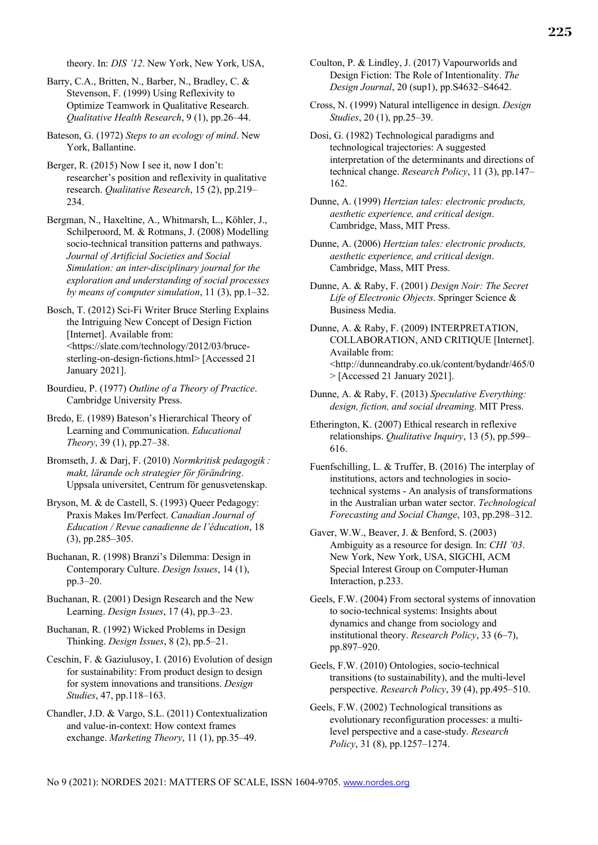theory. In: *DIS '12*. New York, New York, USA,

- Barry, C.A., Britten, N., Barber, N., Bradley, C. & Stevenson, F. (1999) Using Reflexivity to Optimize Teamwork in Qualitative Research. *Qualitative Health Research*, 9 (1), pp.26–44.
- Bateson, G. (1972) *Steps to an ecology of mind*. New York, Ballantine.
- Berger, R. (2015) Now I see it, now I don't: researcher's position and reflexivity in qualitative research. *Qualitative Research*, 15 (2), pp.219– 234.
- Bergman, N., Haxeltine, A., Whitmarsh, L., Köhler, J., Schilperoord, M. & Rotmans, J. (2008) Modelling socio-technical transition patterns and pathways. *Journal of Artificial Societies and Social Simulation: an inter-disciplinary journal for the exploration and understanding of social processes by means of computer simulation*, 11 (3), pp.1–32.
- Bosch, T. (2012) Sci-Fi Writer Bruce Sterling Explains the Intriguing New Concept of Design Fiction [Internet]. Available from: <https://slate.com/technology/2012/03/brucesterling-on-design-fictions.html> [Accessed 21 January 2021].
- Bourdieu, P. (1977) *Outline of a Theory of Practice*. Cambridge University Press.
- Bredo, E. (1989) Bateson's Hierarchical Theory of Learning and Communication. *Educational Theory*, 39 (1), pp.27–38.
- Bromseth, J. & Darj, F. (2010) *Normkritisk pedagogik : makt, lärande och strategier för förändring*. Uppsala universitet, Centrum för genusvetenskap.
- Bryson, M. & de Castell, S. (1993) Queer Pedagogy: Praxis Makes Im/Perfect. *Canadian Journal of Education / Revue canadienne de l'éducation*, 18 (3), pp.285–305.
- Buchanan, R. (1998) Branzi's Dilemma: Design in Contemporary Culture. *Design Issues*, 14 (1), pp.3–20.
- Buchanan, R. (2001) Design Research and the New Learning. *Design Issues*, 17 (4), pp.3–23.
- Buchanan, R. (1992) Wicked Problems in Design Thinking. *Design Issues*, 8 (2), pp.5–21.
- Ceschin, F. & Gaziulusoy, I. (2016) Evolution of design for sustainability: From product design to design for system innovations and transitions. *Design Studies*, 47, pp.118–163.
- Chandler, J.D. & Vargo, S.L. (2011) Contextualization and value-in-context: How context frames exchange. *Marketing Theory*, 11 (1), pp.35–49.
- Coulton, P. & Lindley, J. (2017) Vapourworlds and Design Fiction: The Role of Intentionality. *The Design Journal*, 20 (sup1), pp.S4632–S4642.
- Cross, N. (1999) Natural intelligence in design. *Design Studies*, 20 (1), pp.25–39.
- Dosi, G. (1982) Technological paradigms and technological trajectories: A suggested interpretation of the determinants and directions of technical change. *Research Policy*, 11 (3), pp.147– 162.
- Dunne, A. (1999) *Hertzian tales: electronic products, aesthetic experience, and critical design*. Cambridge, Mass, MIT Press.
- Dunne, A. (2006) *Hertzian tales: electronic products, aesthetic experience, and critical design*. Cambridge, Mass, MIT Press.
- Dunne, A. & Raby, F. (2001) *Design Noir: The Secret Life of Electronic Objects*. Springer Science & Business Media.
- Dunne, A. & Raby, F. (2009) INTERPRETATION, COLLABORATION, AND CRITIQUE [Internet]. Available from: <http://dunneandraby.co.uk/content/bydandr/465/0 > [Accessed 21 January 2021].
- Dunne, A. & Raby, F. (2013) *Speculative Everything: design, fiction, and social dreaming*. MIT Press.
- Etherington, K. (2007) Ethical research in reflexive relationships. *Qualitative Inquiry*, 13 (5), pp.599– 616.
- Fuenfschilling, L. & Truffer, B. (2016) The interplay of institutions, actors and technologies in sociotechnical systems - An analysis of transformations in the Australian urban water sector. *Technological Forecasting and Social Change*, 103, pp.298–312.
- Gaver, W.W., Beaver, J. & Benford, S. (2003) Ambiguity as a resource for design. In: *CHI '03*. New York, New York, USA, SIGCHI, ACM Special Interest Group on Computer-Human Interaction, p.233.
- Geels, F.W. (2004) From sectoral systems of innovation to socio-technical systems: Insights about dynamics and change from sociology and institutional theory. *Research Policy*, 33 (6–7), pp.897–920.
- Geels, F.W. (2010) Ontologies, socio-technical transitions (to sustainability), and the multi-level perspective. *Research Policy*, 39 (4), pp.495–510.
- Geels, F.W. (2002) Technological transitions as evolutionary reconfiguration processes: a multilevel perspective and a case-study. *Research Policy*, 31 (8), pp.1257–1274.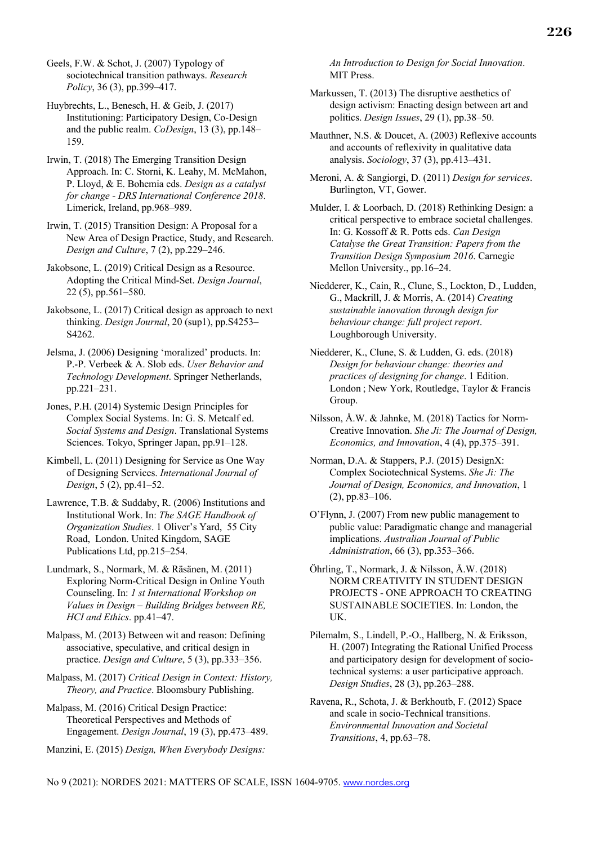Geels, F.W. & Schot, J. (2007) Typology of sociotechnical transition pathways. *Research Policy*, 36 (3), pp.399–417.

Huybrechts, L., Benesch, H. & Geib, J. (2017) Institutioning: Participatory Design, Co-Design and the public realm. *CoDesign*, 13 (3), pp.148– 159.

Irwin, T. (2018) The Emerging Transition Design Approach. In: C. Storni, K. Leahy, M. McMahon, P. Lloyd, & E. Bohemia eds. *Design as a catalyst for change - DRS International Conference 2018*. Limerick, Ireland, pp.968–989.

Irwin, T. (2015) Transition Design: A Proposal for a New Area of Design Practice, Study, and Research. *Design and Culture*, 7 (2), pp.229–246.

Jakobsone, L. (2019) Critical Design as a Resource. Adopting the Critical Mind-Set. *Design Journal*, 22 (5), pp.561–580.

Jakobsone, L. (2017) Critical design as approach to next thinking. *Design Journal*, 20 (sup1), pp.S4253– S4262.

Jelsma, J. (2006) Designing 'moralized' products. In: P.-P. Verbeek & A. Slob eds. *User Behavior and Technology Development*. Springer Netherlands, pp.221–231.

Jones, P.H. (2014) Systemic Design Principles for Complex Social Systems. In: G. S. Metcalf ed. *Social Systems and Design*. Translational Systems Sciences. Tokyo, Springer Japan, pp.91–128.

Kimbell, L. (2011) Designing for Service as One Way of Designing Services. *International Journal of Design*, 5 (2), pp.41–52.

Lawrence, T.B. & Suddaby, R. (2006) Institutions and Institutional Work. In: *The SAGE Handbook of Organization Studies*. 1 Oliver's Yard, 55 City Road, London. United Kingdom, SAGE Publications Ltd, pp.215–254.

Lundmark, S., Normark, M. & Räsänen, M. (2011) Exploring Norm-Critical Design in Online Youth Counseling. In: *1 st International Workshop on Values in Design – Building Bridges between RE, HCI and Ethics*. pp.41–47.

Malpass, M. (2013) Between wit and reason: Defining associative, speculative, and critical design in practice. *Design and Culture*, 5 (3), pp.333–356.

Malpass, M. (2017) *Critical Design in Context: History, Theory, and Practice*. Bloomsbury Publishing.

Malpass, M. (2016) Critical Design Practice: Theoretical Perspectives and Methods of Engagement. *Design Journal*, 19 (3), pp.473–489.

Manzini, E. (2015) *Design, When Everybody Designs:* 

*An Introduction to Design for Social Innovation*. MIT Press.

Markussen, T. (2013) The disruptive aesthetics of design activism: Enacting design between art and politics. *Design Issues*, 29 (1), pp.38–50.

Mauthner, N.S. & Doucet, A. (2003) Reflexive accounts and accounts of reflexivity in qualitative data analysis. *Sociology*, 37 (3), pp.413–431.

Meroni, A. & Sangiorgi, D. (2011) *Design for services*. Burlington, VT, Gower.

Mulder, I. & Loorbach, D. (2018) Rethinking Design: a critical perspective to embrace societal challenges. In: G. Kossoff & R. Potts eds. *Can Design Catalyse the Great Transition: Papers from the Transition Design Symposium 2016*. Carnegie Mellon University., pp.16–24.

Niedderer, K., Cain, R., Clune, S., Lockton, D., Ludden, G., Mackrill, J. & Morris, A. (2014) *Creating sustainable innovation through design for behaviour change: full project report*. Loughborough University.

Niedderer, K., Clune, S. & Ludden, G. eds. (2018) *Design for behaviour change: theories and practices of designing for change*. 1 Edition. London ; New York, Routledge, Taylor & Francis Group.

Nilsson, Å.W. & Jahnke, M. (2018) Tactics for Norm-Creative Innovation. *She Ji: The Journal of Design, Economics, and Innovation*, 4 (4), pp.375–391.

Norman, D.A. & Stappers, P.J. (2015) DesignX: Complex Sociotechnical Systems. *She Ji: The Journal of Design, Economics, and Innovation*, 1 (2), pp.83–106.

O'Flynn, J. (2007) From new public management to public value: Paradigmatic change and managerial implications. *Australian Journal of Public Administration*, 66 (3), pp.353–366.

Öhrling, T., Normark, J. & Nilsson, Å.W. (2018) NORM CREATIVITY IN STUDENT DESIGN PROJECTS - ONE APPROACH TO CREATING SUSTAINABLE SOCIETIES. In: London, the UK.

Pilemalm, S., Lindell, P.-O., Hallberg, N. & Eriksson, H. (2007) Integrating the Rational Unified Process and participatory design for development of sociotechnical systems: a user participative approach. *Design Studies*, 28 (3), pp.263–288.

Ravena, R., Schota, J. & Berkhoutb, F. (2012) Space and scale in socio-Technical transitions. *Environmental Innovation and Societal Transitions*, 4, pp.63–78.

No 9 (2021): NORDES 2021: MATTERS OF SCALE, ISSN 1604-9705. www.nordes.org